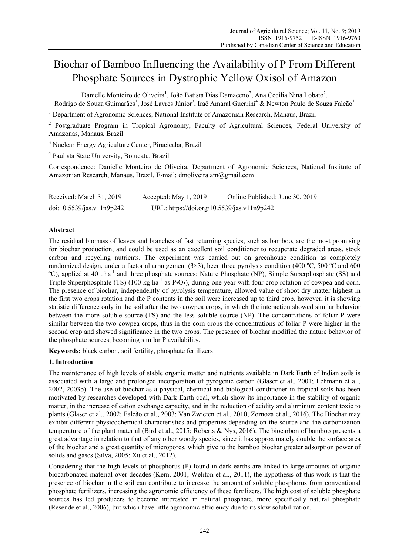# Biochar of Bamboo Influencing the Availability of P From Different Phosphate Sources in Dystrophic Yellow Oxisol of Amazon

Danielle Monteiro de Oliveira<sup>1</sup>, João Batista Dias Damaceno<sup>2</sup>, Ana Cecília Nina Lobato<sup>2</sup>,

Rodrigo de Souza Guimarães<sup>1</sup>, José Lavres Júnior<sup>3</sup>, Iraê Amaral Guerrini<sup>4</sup> & Newton Paulo de Souza Falcão<sup>1</sup>

<sup>1</sup> Department of Agronomic Sciences, National Institute of Amazonian Research, Manaus, Brazil

<sup>2</sup> Postgraduate Program in Tropical Agronomy, Faculty of Agricultural Sciences, Federal University of Amazonas, Manaus, Brazil

<sup>3</sup> Nuclear Energy Agriculture Center, Piracicaba, Brazil

4 Paulista State University, Botucatu, Brazil

Correspondence: Danielle Monteiro de Oliveira, Department of Agronomic Sciences, National Institute of Amazonian Research, Manaus, Brazil. E-mail: dmoliveira.am@gmail.com

| Received: March 31, 2019  | Accepted: May $1, 2019$                    | Online Published: June 30, 2019 |
|---------------------------|--------------------------------------------|---------------------------------|
| doi:10.5539/jas.v11n9p242 | URL: https://doi.org/10.5539/jas.v11n9p242 |                                 |

# **Abstract**

The residual biomass of leaves and branches of fast returning species, such as bamboo, are the most promising for biochar production, and could be used as an excellent soil conditioner to recuperate degraded areas, stock carbon and recycling nutrients. The experiment was carried out on greenhouse condition as completely randomized design, under a factorial arrangement  $(3\times3)$ , been three pyrolysis condition (400 °C, 500 °C and 600 ºC), applied at 40 t ha-1 and three phosphate sources: Nature Phosphate (NP), Simple Superphosphate (SS) and Triple Superphosphate (TS) (100 kg ha<sup>-1</sup> as P<sub>2</sub>O<sub>5</sub>), during one year with four crop rotation of cowpea and corn. The presence of biochar, independently of pyrolysis temperature, allowed value of shoot dry matter highest in the first two crops rotation and the P contents in the soil were increased up to third crop, however, it is showing statistic difference only in the soil after the two cowpea crops, in which the interaction showed similar behavior between the more soluble source (TS) and the less soluble source (NP). The concentrations of foliar P were similar between the two cowpea crops, thus in the corn crops the concentrations of foliar P were higher in the second crop and showed significance in the two crops. The presence of biochar modified the nature behavior of the phosphate sources, becoming similar P availability.

Keywords: black carbon, soil fertility, phosphate fertilizers

# **1. Introduction**

The maintenance of high levels of stable organic matter and nutrients available in Dark Earth of Indian soils is associated with a large and prolonged incorporation of pyrogenic carbon (Glaser et al., 2001; Lehmann et al., 2002, 2003b). The use of biochar as a physical, chemical and biological conditioner in tropical soils has been motivated by researches developed with Dark Earth coal, which show its importance in the stability of organic matter, in the increase of cation exchange capacity, and in the reduction of acidity and aluminum content toxic to plants (Glaser et al., 2002; Falcão et al., 2003; Van Zwieten et al., 2010; Zornoza et al., 2016). The Biochar may exhibit different physicochemical characteristics and properties depending on the source and the carbonization temperature of the plant material (Bird et al., 2015; Roberts & Nys, 2016). The biocarbon of bamboo presents a great advantage in relation to that of any other woody species, since it has approximately double the surface area of the biochar and a great quantity of micropores, which give to the bamboo biochar greater adsorption power of solids and gases (Silva, 2005; Xu et al., 2012).

Considering that the high levels of phosphorus (P) found in dark earths are linked to large amounts of organic biocarbonated material over decades (Kern, 2001; Weliton et al., 2011), the hypothesis of this work is that the presence of biochar in the soil can contribute to increase the amount of soluble phosphorus from conventional phosphate fertilizers, increasing the agronomic efficiency of these fertilizers. The high cost of soluble phosphate sources has led producers to become interested in natural phosphate, more specifically natural phosphate (Resende et al., 2006), but which have little agronomic efficiency due to its slow solubilization.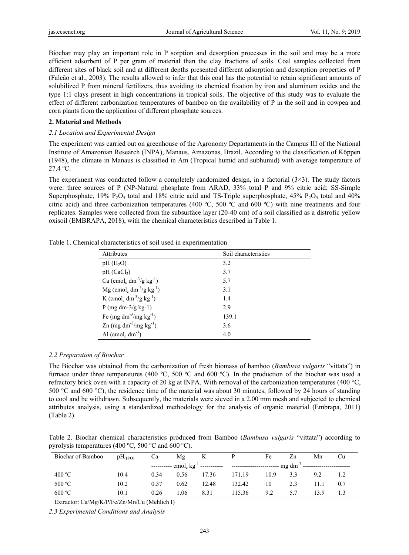Biochar may play an important role in P sorption and desorption processes in the soil and may be a more efficient adsorbent of P per gram of material than the clay fractions of soils. Coal samples collected from different sites of black soil and at different depths presented different adsorption and desorption properties of P (Falcão et al., 2003). The results allowed to infer that this coal has the potential to retain significant amounts of solubilized P from mineral fertilizers, thus avoiding its chemical fixation by iron and aluminum oxides and the type 1:1 clays present in high concentrations in tropical soils. The objective of this study was to evaluate the effect of different carbonization temperatures of bamboo on the availability of P in the soil and in cowpea and corn plants from the application of different phosphate sources.

#### **2. Material and Methods**

### *2.1 Location and Experimental Design*

The experiment was carried out on greenhouse of the Agronomy Departaments in the Campus III of the National Institute of Amazonian Research (INPA), Manaus, Amazonas, Brazil. According to the classification of Köppen (1948), the climate in Manaus is classified in Am (Tropical humid and subhumid) with average temperature of 27.4 ºC.

The experiment was conducted follow a completely randomized design, in a factorial  $(3\times3)$ . The study factors were: three sources of P (NP-Natural phosphate from ARAD, 33% total P and 9% citric acid; SS-Simple Superphosphate,  $19\%$  P<sub>2</sub>O<sub>5</sub> total and 18% citric acid and TS-Triple superphosphate,  $45\%$  P<sub>2</sub>O<sub>5</sub> total and  $40\%$ citric acid) and three carbonization temperatures (400  $^{\circ}C$ , 500  $^{\circ}C$  and 600  $^{\circ}C$ ) with nine treatments and four replicates. Samples were collected from the subsurface layer (20-40 cm) of a soil classified as a distrofic yellow oxisoil (EMBRAPA, 2018), with the chemical characteristics described in Table 1.

| Attributes                                                     | Soil characteristics |
|----------------------------------------------------------------|----------------------|
| $pH(H_2O)$                                                     | 3.2                  |
| pH (CaCl <sub>2</sub> )                                        | 3.7                  |
| Ca (cmol <sub>c</sub> dm <sup>-3</sup> /g kg <sup>-1</sup> )   | 5.7                  |
| $Mg$ (cmol <sub>c</sub> dm <sup>-3</sup> /g kg <sup>-1</sup> ) | 3.1                  |
| K (cmol <sub>c</sub> dm <sup>-3</sup> /g kg <sup>-1</sup> )    | 1.4                  |
| P (mg dm- $3/g$ kg-1)                                          | 2.9                  |
| Fe (mg dm <sup>-3</sup> /mg $kg^{-1}$ )                        | 139.1                |
| Zn $(mg dm^{-3}/mg kg^{-1})$                                   | 3.6                  |
| Al (cmol <sub>c</sub> dm <sup>-3</sup> )                       | 4.0                  |

Table 1. Chemical characteristics of soil used in experimentation

#### *2.2 Preparation of Biochar*

The Biochar was obtained from the carbonization of fresh biomass of bamboo (*Bambusa vulgaris* "vittata") in furnace under three temperatures (400 ºC, 500 ºC and 600 ºC). In the production of the biochar was used a refractory brick oven with a capacity of 20 kg at INPA. With removal of the carbonization temperatures (400 °C, 500 °C and 600 °C), the residence time of the material was about 30 minutes, followed by 24 hours of standing to cool and be withdrawn. Subsequently, the materials were sieved in a 2.00 mm mesh and subjected to chemical attributes analysis, using a standardized methodology for the analysis of organic material (Embrapa, 2011) (Table 2).

Table 2. Biochar chemical characteristics produced from Bamboo (*Bambusa vulgaris* "vittata") according to pyrolysis temperatures (400 ºC, 500 ºC and 600 ºC).

| Biochar of Bamboo                            | pH <sub>(H2O)</sub> | Cа   | Mg   | K                                                       | P                                                                   | Fe   | Zn  | Mn   | Сu  |
|----------------------------------------------|---------------------|------|------|---------------------------------------------------------|---------------------------------------------------------------------|------|-----|------|-----|
|                                              |                     |      |      | ---------- $\text{cmol}_c$ kg <sup>-1</sup> ----------- | ----------------------- mg dm <sup>-3</sup> ----------------------- |      |     |      |     |
| 400 °C                                       | 10.4                | 0.34 | 0.56 | 17.36                                                   | 171.19                                                              | 10.9 | 3.3 | 9.2  |     |
| 500 °C                                       | 10.2                | 0.37 | 0.62 | 12.48                                                   | 132.42                                                              | 10   | 2.3 | 11.1 | 0.7 |
| 600 °C                                       | 10.1                | 0.26 | 1.06 | 8.31                                                    | 115.36                                                              | 9.2  | 57  | 139  |     |
| Extractor: Ca/Mg/K/P/Fe/Zn/Mn/Cu (Mehlich I) |                     |      |      |                                                         |                                                                     |      |     |      |     |

*2.3 Experimental Conditions and Analysis*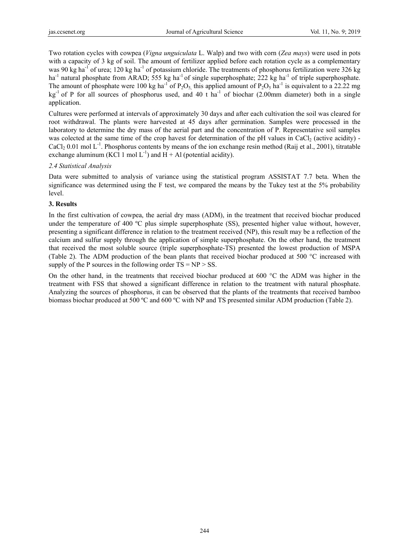Two rotation cycles with cowpea (*Vigna unguiculata* L. Walp) and two with corn (*Zea mays*) were used in pots with a capacity of 3 kg of soil. The amount of fertilizer applied before each rotation cycle as a complementary was 90 kg ha<sup>-1</sup> of urea; 120 kg ha<sup>-1</sup> of potassium chloride. The treatments of phosphorus fertilization were 326 kg ha<sup>-1</sup> natural phosphate from ARAD; 555 kg ha<sup>-1</sup> of single superphosphate; 222 kg ha<sup>-1</sup> of triple superphosphate. The amount of phosphate were 100 kg ha<sup>-1</sup> of P<sub>2</sub>O<sub>5</sub>, this applied amount of P<sub>2</sub>O<sub>5</sub> ha<sup>-1</sup> is equivalent to a 22.22 mg  $kg<sup>-1</sup>$  of P for all sources of phosphorus used, and 40 t ha<sup>-1</sup> of biochar (2.00mm diameter) both in a single application.

Cultures were performed at intervals of approximately 30 days and after each cultivation the soil was cleared for root withdrawal. The plants were harvested at 45 days after germination. Samples were processed in the laboratory to determine the dry mass of the aerial part and the concentration of P. Representative soil samples was colected at the same time of the crop havest for determination of the pH values in CaCl<sub>2</sub> (active acidity) -CaCl<sub>2</sub> 0.01 mol L<sup>-1</sup>. Phosphorus contents by means of the ion exchange resin method (Raij et al., 2001), titratable exchange aluminum (KCl 1 mol  $L^{-1}$ ) and H + Al (potential acidity).

## *2.4 Statistical Analysis*

Data were submitted to analysis of variance using the statistical program ASSISTAT 7.7 beta. When the significance was determined using the F test, we compared the means by the Tukey test at the 5% probability level.

# **3. Results**

In the first cultivation of cowpea, the aerial dry mass (ADM), in the treatment that received biochar produced under the temperature of 400 ºC plus simple superphosphate (SS), presented higher value without, however, presenting a significant difference in relation to the treatment received (NP), this result may be a reflection of the calcium and sulfur supply through the application of simple superphosphate. On the other hand, the treatment that received the most soluble source (triple superphosphate-TS) presented the lowest production of MSPA (Table 2). The ADM production of the bean plants that received biochar produced at 500 °C increased with supply of the P sources in the following order  $TS = NP > SS$ .

On the other hand, in the treatments that received biochar produced at 600 °C the ADM was higher in the treatment with FSS that showed a significant difference in relation to the treatment with natural phosphate. Analyzing the sources of phosphorus, it can be observed that the plants of the treatments that received bamboo biomass biochar produced at 500 ºC and 600 ºC with NP and TS presented similar ADM production (Table 2).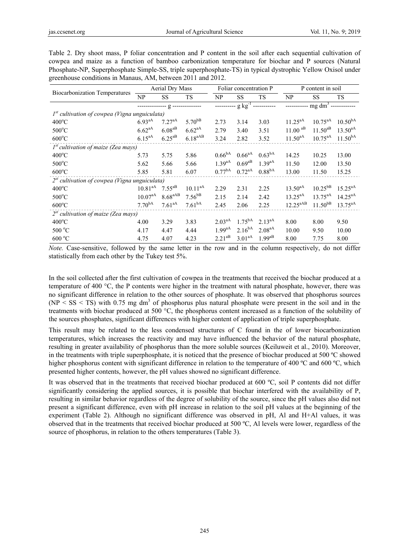Table 2. Dry shoot mass, P foliar concentration and P content in the soil after each sequential cultivation of cowpea and maize as a function of bamboo carbonization temperature for biochar and P sources (Natural Phosphate-NP, Superphosphate Simple-SS, triple superphosphate-TS) in typical dystrophic Yellow Oxisol under greenhouse conditions in Manaus, AM, between 2011 and 2012.

| <b>Biocarbonization Temperatures</b>            | Aerial Dry Mass  |                     |                    | Foliar concentration P    |                    |                    | P content in soil    |              |                     |
|-------------------------------------------------|------------------|---------------------|--------------------|---------------------------|--------------------|--------------------|----------------------|--------------|---------------------|
|                                                 | NP               | SS.                 | <b>TS</b>          | NP                        | <b>SS</b>          | TS.                | NP                   | <b>SS</b>    | <b>TS</b>           |
|                                                 | -------------- g |                     |                    | -- g kg <sup>-1</sup> --- |                    |                    | $mg dm3$ --          |              |                     |
| $Ist$ cultivation of cowpea (Vigna unguiculata) |                  |                     |                    |                           |                    |                    |                      |              |                     |
| $400^{\circ}$ C                                 | $6.93^{aA}$      | $7.27^{aA}$         | $5.70^{bB}$        | 2.73                      | 3.14               | 3.03               | $11.25^{aA}$         | $10.75^{aA}$ | 10.50 <sup>ba</sup> |
| $500^{\circ}$ C                                 | $6.62^{aA}$      | $6.08^{aB}$         | $6.62^{aA}$        | 2.79                      | 3.40               | 3.51               | $11.00$ aB           | $11.50^{aB}$ | $13.50^{aA}$        |
| $600^{\circ}$ C                                 | $6.15^{aA}$      | $6.25^{aB}$         | $6.18^{aAB}$       | 3.24                      | 2.82               | 3.52               | $11.50^{aA}$         | $10.75^{aA}$ | $11.50^{bA}$        |
| $1st$ cultivation of maize (Zea mays)           |                  |                     |                    |                           |                    |                    |                      |              |                     |
| $400^{\circ}$ C                                 | 5.73             | 5.75                | 5.86               | 0.66 <sup>bA</sup>        | $0.66aA}$          | 0.63 <sup>bA</sup> | 14.25                | 10.25        | 13.00               |
| $500^{\circ}$ C                                 | 5.62             | 5.66                | 5.66               | $1.39^{aA}$               | $0.69^{aB}$        | $1.39^{aA}$        | 11.50                | 12.00        | 13.50               |
| $600^{\circ}$ C                                 | 5.85             | 5.81                | 6.07               | $0.77^{bA}$               | $0.72^{aA}$        | 0.88 <sup>bA</sup> | 13.00                | 11.50        | 15.25               |
| $2st$ cultivation of cowpea (Vigna unguiculata) |                  |                     |                    |                           |                    |                    |                      |              |                     |
| $400^{\circ}$ C                                 | $10.81^{aA}$     | $7.55^{ab}$         | $10.11^{aA}$       | 2.29                      | 2.31               | 2.25               | $13.50^{aA}$         | $10.25^{bB}$ | $15.25^{aA}$        |
| $500^{\circ}$ C                                 | $10.07^{aA}$     | 8.68 <sup>aAB</sup> | $7.56^{bB}$        | 2.15                      | 2.14               | 2.42               | $13.25^{aA}$         | $13.75^{aA}$ | $14.25^{aA}$        |
| $600^{\circ}$ C                                 | $7.70^{bA}$      | $7.61^{aA}$         | 7.61 <sup>bA</sup> | 2.45                      | 2.06               | 2.25               | 12.25 <sup>aAB</sup> | $11.50^{bB}$ | $13.75^{aA}$        |
| $2^{st}$ cultivation of maize (Zea mays)        |                  |                     |                    |                           |                    |                    |                      |              |                     |
| $400^{\circ}$ C                                 | 4.00             | 3.29                | 3.83               | 2.03 <sup>aa</sup>        | $1.75^{bA}$        | $2.13^{aA}$        | 8.00                 | 8.00         | 9.50                |
| $500\text{ °C}$                                 | 4.17             | 4.47                | 4.44               | $1.99$ <sup>aA</sup>      | $2.16^{bA}$        | 2.08 <sup>aA</sup> | 10.00                | 9.50         | 10.00               |
| $600\text{ °C}$                                 | 4.75             | 4.07                | 4.23               | $2.21^{aB}$               | 3.01 <sup>aA</sup> | $1.99^{aB}$        | 8.00                 | 7.75         | 8.00                |

*Note.* Case-sensitive, followed by the same letter in the row and in the column respectively, do not differ statistically from each other by the Tukey test 5%.

In the soil collected after the first cultivation of cowpea in the treatments that received the biochar produced at a temperature of 400 °C, the P contents were higher in the treatment with natural phosphate, however, there was no significant difference in relation to the other sources of phosphate. It was observed that phosphorus sources  $(NP \leq SS \leq TS)$  with 0.75 mg dm<sup>3</sup> of phosphorus plus natural phosphate were present in the soil and in the treatments with biochar produced at 500 °C, the phosphorus content increased as a function of the solubility of the sources phosphates, significant differences with higher content of application of triple superphosphate.

This result may be related to the less condensed structures of C found in the of lower biocarbonization temperatures, which increases the reactivity and may have influenced the behavior of the natural phosphate, resulting in greater availability of phosphorus than the more soluble sources (Keiluweit et al., 2010). Moreover, in the treatments with triple superphosphate, it is noticed that the presence of biochar produced at 500 ºC showed higher phosphorus content with significant difference in relation to the temperature of 400 °C and 600 °C, which presented higher contents, however, the pH values showed no significant difference.

It was observed that in the treatments that received biochar produced at 600 ºC, soil P contents did not differ significantly considering the applied sources, it is possible that biochar interfered with the availability of P, resulting in similar behavior regardless of the degree of solubility of the source, since the pH values also did not present a significant difference, even with pH increase in relation to the soil pH values at the beginning of the experiment (Table 2). Although no significant difference was observed in pH, Al and H+Al values, it was observed that in the treatments that received biochar produced at 500 ºC, Al levels were lower, regardless of the source of phosphorus, in relation to the others temperatures (Table 3).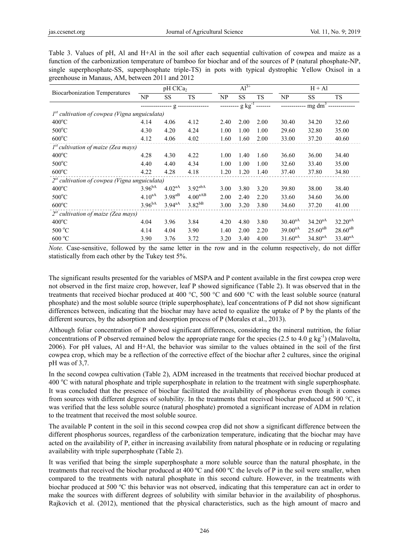Table 3. Values of pH, Al and H+Al in the soil after each sequential cultivation of cowpea and maize as a function of the carbonization temperature of bamboo for biochar and of the sources of P (natural phosphate-NP, single superphosphate-SS, superphosphate triple-TS) in pots with typical dystrophic Yellow Oxisol in a greenhouse in Manaus, AM, between 2011 and 2012

| <b>Biocarbonization Temperatures</b>            | pH ClCa <sub>2</sub> |                      |                     | $Al^{3+}$               |      |           | $H + Al$       |              |              |
|-------------------------------------------------|----------------------|----------------------|---------------------|-------------------------|------|-----------|----------------|--------------|--------------|
|                                                 | NP                   | SS                   | <b>TS</b>           | NP                      | SS.  | <b>TS</b> | NP             | <b>SS</b>    | <b>TS</b>    |
|                                                 | -- g --------------- |                      |                     | ---- g kg <sup>-1</sup> |      |           | $mg \, dm^3 -$ |              |              |
| $Ist$ cultivation of cowpea (Vigna unguiculata) |                      |                      |                     |                         |      |           |                |              |              |
| $400^{\circ}$ C                                 | 4.14                 | 4.06                 | 4.12                | 2.40                    | 2.00 | 2.00      | 30.40          | 34.20        | 32.60        |
| $500^{\circ}$ C                                 | 4.30                 | 4.20                 | 4.24                | 1.00                    | 1.00 | 1.00      | 29.60          | 32.80        | 35.00        |
| $600^{\circ}$ C                                 | 4.12                 | 4.06                 | 4.02                | 1.60                    | 1.60 | 2.00      | 33.00          | 37.20        | 40.60        |
| $1st$ cultivation of maize (Zea mays)           |                      |                      |                     |                         |      |           |                |              |              |
| $400^{\circ}$ C                                 | 4.28                 | 4.30                 | 4.22                | 1.00                    | 1.40 | 1.60      | 36.60          | 36.00        | 34.40        |
| $500^{\circ}$ C                                 | 4.40                 | 4.40                 | 4.34                | 1.00                    | 1.00 | 1.00      | 32.60          | 33.40        | 35.00        |
| $600^{\circ}$ C                                 | 4.22                 | 4.28                 | 4.18                | 1.20                    | 1.20 | 1.40      | 37.40          | 37.80        | 34.80        |
| $2st$ cultivation of cowpea (Vigna unguiculata) |                      |                      |                     |                         |      |           |                |              |              |
| $400^{\circ}$ C                                 | $3.96^{bA}$          | $4.02^{aA}$          | 3.92 <sup>abA</sup> | 3.00                    | 3.80 | 3.20      | 39.80          | 38.00        | 38.40        |
| $500^{\circ}$ C                                 | $4.10^{aA}$          | $3.98^{aB}$          | 4.00 <sup>aAB</sup> | 2.00                    | 2.40 | 2.20      | 33.60          | 34.60        | 36.00        |
| $600^{\circ}$ C                                 | $3.96^{bA}$          | $3.94$ <sup>aA</sup> | $3.82^{bB}$         | 3.00                    | 3.20 | 3.80      | 34.60          | 37.20        | 41.00        |
| $2^{st}$ cultivation of maize (Zea mays)        |                      |                      |                     |                         |      |           |                |              |              |
| $400^{\circ}$ C                                 | 4.04                 | 3.96                 | 3.84                | 4.20                    | 4.80 | 3.80      | $30.40^{aA}$   | $34.20^{aA}$ | $32.20^{aA}$ |
| 500 °C                                          | 4.14                 | 4.04                 | 3.90                | 1.40                    | 2.00 | 2.20      | $39.00^{aA}$   | $25.60^{ab}$ | $28.60^{aB}$ |
| $600\,^{\circ}\mathrm{C}$                       | 3.90                 | 3.76                 | 3.72                | 3.20                    | 3.40 | 4.00      | $31.60^{aA}$   | $34.80^{aA}$ | $33.40^{aA}$ |

*Note.* Case-sensitive, followed by the same letter in the row and in the column respectively, do not differ statistically from each other by the Tukey test 5%.

The significant results presented for the variables of MSPA and P content available in the first cowpea crop were not observed in the first maize crop, however, leaf P showed significance (Table 2). It was observed that in the treatments that received biochar produced at 400 °C, 500 °C and 600 °C with the least soluble source (natural phosphate) and the most soluble source (triple superphosphate), leaf concentrations of P did not show significant differences between, indicating that the biochar may have acted to equalize the uptake of P by the plants of the different sources, by the adsorption and desorption process of P (Morales et al., 2013).

Although foliar concentration of P showed significant differences, considering the mineral nutrition, the foliar concentrations of P observed remained below the appropriate range for the species (2.5 to 4.0 g kg<sup>-1</sup>) (Malavolta, 2006). For pH values, Al and H+Al, the behavior was similar to the values obtained in the soil of the first cowpea crop, which may be a reflection of the corrective effect of the biochar after 2 cultures, since the original pH was of 3,7.

In the second cowpea cultivation (Table 2), ADM increased in the treatments that received biochar produced at 400 °C with natural phosphate and triple superphosphate in relation to the treatment with single superphosphate. It was concluded that the presence of biochar facilitated the availability of phosphorus even though it comes from sources with different degrees of solubility. In the treatments that received biochar produced at 500 °C, it was verified that the less soluble source (natural phosphate) promoted a significant increase of ADM in relation to the treatment that received the most soluble source.

The available P content in the soil in this second cowpea crop did not show a significant difference between the different phosphorus sources, regardless of the carbonization temperature, indicating that the biochar may have acted on the availability of P, either in increasing availability from natural phosphate or in reducing or regulating availability with triple superphosphate (Table 2).

It was verified that being the simple superphosphate a more soluble source than the natural phosphate, in the treatments that received the biochar produced at 400 ºC and 600 ºC the levels of P in the soil were smaller, when compared to the treatments with natural phosphate in this second culture. However, in the treatments with biochar produced at 500 ºC this behavior was not observed, indicating that this temperature can act in order to make the sources with different degrees of solubility with similar behavior in the availability of phosphorus. Rajkovich et al. (2012), mentioned that the physical characteristics, such as the high amount of macro and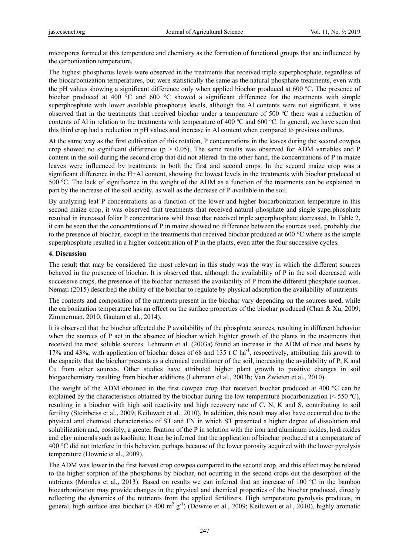micropores formed at this temperature and chemistry as the formation of functional groups that are influenced by the carbonization temperature.

The highest phosphorus levels were observed in the treatments that received triple superphosphate, regardless of the biocarbonization temperatures, but were statistically the same as the natural phosphate treatments, even with the pH values showing a significant difference only when applied biochar produced at 600 ºC. The presence of biochar produced at 400 °C and 600 °C showed a significant difference for the treatments with simple superphosphate with lower available phosphorus levels, although the Al contents were not significant, it was observed that in the treatments that received biochar under a temperature of 500 ºC there was a reduction of contents of Al in relation to the treatments with temperature of 400  $^{\circ}$ C and 600  $^{\circ}$ C. In general, we have seen that this third crop had a reduction in pH values and increase in Al content when compared to previous cultures.

At the same way as the first cultivation of this rotation, P concentrations in the leaves during the second cowpea crop showed no significant difference ( $p > 0.05$ ). The same results was observed for ADM variables and P content in the soil during the second crop that did not altered. In the other hand, the concentrations of P in maize leaves were influenced by treatments in both the first and second crops. In the second maize crop was a significant difference in the H+Al content, showing the lowest levels in the treatments with biochar produced at 500 ºC. The lack of significance in the weight of the ADM as a function of the treatments can be explained in part by the increase of the soil acidity, as well as the decrease of P available in the soil.

By analyzing leaf P concentrations as a function of the lower and higher biocarbonization temperature in this second maize crop, it was observed that treatments that received natural phosphate and single superphosphate resulted in increased foliar P concentrations whil those that received triple superphosphate decreased. In Table 2, it can be seen that the concentrations of P in maize showed no difference between the sources used, probably due to the presence of biochar, except in the treatments that received biochar produced at 600 °C where as the simple superphosphate resulted in a higher concentration of P in the plants, even after the four successive cycles.

## **4. Discussion**

The result that may be considered the most relevant in this study was the way in which the different sources behaved in the presence of biochar. It is observed that, although the availability of P in the soil decreased with successive crops, the presence of the biochar increased the availability of P from the different phosphate sources. Nemati (2015) described the ability of the biochar to regulate by physical adsorption the availability of nutrients.

The contents and composition of the nutrients present in the biochar vary depending on the sources used, while the carbonization temperature has an effect on the surface properties of the biochar produced (Chan & Xu, 2009; Zimmerman, 2010; Gautam et al., 2014).

It is observed that the biochar affected the P availability of the phosphate sources, resulting in different behavior when the sources of P act in the absence of biochar which highter growth of the plants in the treatments that received the most soluble sources. Lehmann et al. (2003a) found an increase in the ADM of rice and beans by 17% and 43%, with application of biochar doses of 68 and 135 t C ha<sup>-1</sup>, respectively, attributing this growth to the capacity that the biochar presents as a chemical conditioner of the soil, increasing the availability of P, K and Cu from other sources. Other studies have attributed higher plant growth to positive changes in soil biogeochemistry resulting from biochar additions (Lehmann et al., 2003b; Van Zwieten et al., 2010).

The weight of the ADM obtained in the first cowpea crop that received biochar produced at 400 ºC can be explained by the characteristics obtained by the biochar during the low temperature biocarbonization ( $\leq 550 \degree C$ ), resulting in a biochar with high soil reactivity and high recovery rate of C, N, K and S, contributing to soil fertility (Steinbeiss et al., 2009; Keiluweit et al., 2010). In addition, this result may also have occurred due to the physical and chemical characteristics of ST and FN in which ST presented a higher degree of dissolution and solubilization and, possibly, a greater fixation of the P in solution with the iron and aluminum oxides, hydroxides and clay minerals such as kaolinite. It can be inferred that the application of biochar produced at a temperature of 400 °C did not interfere in this behavior, perhaps because of the lower porosity acquired with the lower pyrolysis temperature (Downie et al., 2009).

The ADM was lower in the first harvest crop cowpea compared to the second crop, and this effect may be related to the higher sorption of the phosphorus by biochar, not ocurring in the second crops out the desorption of the nutrients (Morales et al., 2013). Based on results we can inferred that an increase of 100 °C in the bamboo biocarbonization may provide changes in the physical and chemical properties of the biochar produced, directly reflecting the dynamics of the nutrients from the applied fertilizers. High temperature pyrolysis produces, in general, high surface area biochar (> 400 m<sup>2</sup> g<sup>-1</sup>) (Downie et al., 2009; Keiluweit et al., 2010), highly aromatic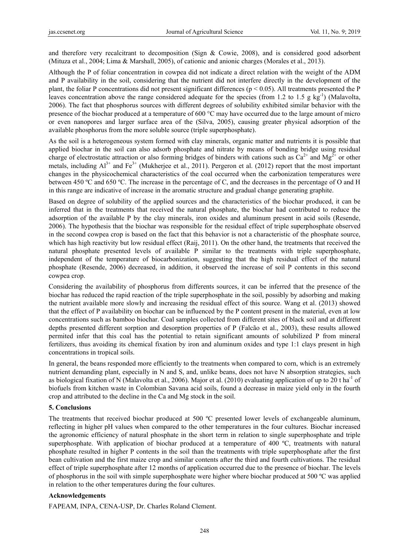and therefore very recalcitrant to decomposition (Sign & Cowie, 2008), and is considered good adsorbent (Mituza et al., 2004; Lima & Marshall, 2005), of cationic and anionic charges (Morales et al., 2013).

Although the P of foliar concentration in cowpea did not indicate a direct relation with the weight of the ADM and P availability in the soil, considering that the nutrient did not interfere directly in the development of the plant, the foliar P concentrations did not present significant differences ( $p < 0.05$ ). All treatments presented the P leaves concentration above the range considered adequate for the species (from 1.2 to 1.5 g kg<sup>-1</sup>) (Malavolta, 2006). The fact that phosphorus sources with different degrees of solubility exhibited similar behavior with the presence of the biochar produced at a temperature of 600 °C may have occurred due to the large amount of micro or even nanopores and larger surface area of the (Silva, 2005), causing greater physical adsorption of the available phosphorus from the more soluble source (triple superphosphate).

As the soil is a heterogeneous system formed with clay minerals, organic matter and nutrients it is possible that applied biochar in the soil can also adsorb phosphate and nitrate by means of bonding bridge using residual charge of electrostatic attraction or also forming bridges of binders with cations such as  $Ca^{2+}$  and  $Mg^{2+}$  or other metals, including  $Al^{3+}$  and  $Fe^{3+}$  (Mukherjee et al., 2011). Pergeron et al. (2012) report that the most important changes in the physicochemical characteristics of the coal occurred when the carbonization temperatures were between 450 ºC and 650 ºC. The increase in the percentage of C, and the decreases in the percentage of O and H in this range are indicative of increase in the aromatic structure and gradual change generating graphite.

Based on degree of solubility of the applied sources and the characteristics of the biochar produced, it can be inferred that in the treatments that received the natural phosphate, the biochar had contributed to reduce the adsorption of the available P by the clay minerals, iron oxides and aluminum present in acid soils (Resende, 2006). The hypothesis that the biochar was responsible for the residual effect of triple superphosphate observed in the second cowpea crop is based on the fact that this behavior is not a characteristic of the phosphate source, which has high reactivity but low residual effect (Raij, 2011). On the other hand, the treatments that received the natural phosphate presented levels of available P similar to the treatments with triple superphosphate, independent of the temperature of biocarbonization, suggesting that the high residual effect of the natural phosphate (Resende, 2006) decreased, in addition, it observed the increase of soil P contents in this second cowpea crop.

Considering the availability of phosphorus from differents sources, it can be inferred that the presence of the biochar has reduced the rapid reaction of the triple superphosphate in the soil, possibly by adsorbing and making the nutrient available more slowly and increasing the residual effect of this source. Wang et al. (2013) showed that the effect of P availability on biochar can be influenced by the P content present in the material, even at low concentrations such as bamboo biochar. Coal samples collected from different sites of black soil and at different depths presented different sorption and desorption properties of P (Falcão et al., 2003), these results allowed permited infer that this coal has the potential to retain significant amounts of solubilized P from mineral fertilizers, thus avoiding its chemical fixation by iron and aluminum oxides and type 1:1 clays present in high concentrations in tropical soils.

In general, the beans responded more efficiently to the treatments when compared to corn, which is an extremely nutrient demanding plant, especially in N and S, and, unlike beans, does not have N absorption strategies, such as biological fixation of N (Malavolta et al., 2006). Major et al. (2010) evaluating application of up to 20 t ha<sup>-1</sup> of biofuels from kitchen waste in Colombian Savana acid soils, found a decrease in maize yield only in the fourth crop and attributed to the decline in the Ca and Mg stock in the soil.

## **5. Conclusions**

The treatments that received biochar produced at 500 ºC presented lower levels of exchangeable aluminum, reflecting in higher pH values when compared to the other temperatures in the four cultures. Biochar increased the agronomic efficiency of natural phosphate in the short term in relation to single superphosphate and triple superphosphate. With application of biochar produced at a temperature of 400 ºC, treatments with natural phosphate resulted in higher P contents in the soil than the treatments with triple superphosphate after the first bean cultivation and the first maize crop and similar contents after the third and fourth cultivations. The residual effect of triple superphosphate after 12 months of application occurred due to the presence of biochar. The levels of phosphorus in the soil with simple superphosphate were higher where biochar produced at 500 ºC was applied in relation to the other temperatures during the four cultures.

## **Acknowledgements**

FAPEAM, INPA, CENA-USP, Dr. Charles Roland Clement.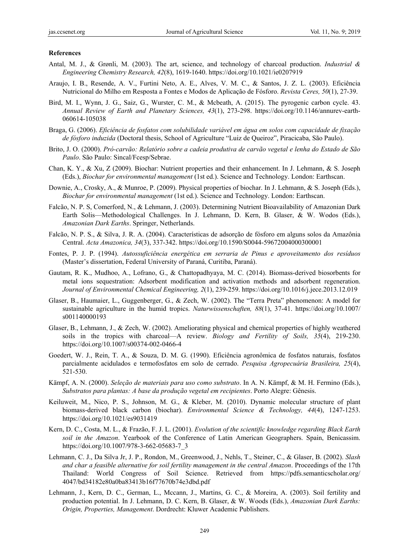### **References**

- Antal, M. J., & Grønli, M. (2003). The art, science, and technology of charcoal production. *Industrial & Engineering Chemistry Research, 42*(8), 1619-1640. https://doi.org/10.1021/ie0207919
- Araujo, I. B., Resende, A. V., Furtini Neto, A. E., Alves, V. M. C., & Santos, J. Z. L. (2003). Eficiência Nutricional do Milho em Resposta a Fontes e Modos de Aplicação de Fósforo. *Revista Ceres, 50*(1), 27-39.
- Bird, M. I., Wynn, J. G., Saiz, G., Wurster, C. M., & Mcbeath, A. (2015). The pyrogenic carbon cycle. 43. *Annual Review of Earth and Planetary Sciences, 43*(1), 273-298. https://doi.org/10.1146/annurev-earth-060614-105038
- Braga, G. (2006). *Eficiência de fosfatos com solubilidade variável em água em solos com capacidade de fixação de fósforo induzida* (Doctoral thesis, School of Agriculture "Luiz de Queiroz", Piracicaba, São Paulo).
- Brito, J. O. (2000). *Pró-carvão: Relatório sobre a cadeia produtiva de carvão vegetal e lenha do Estado de São Paulo*. São Paulo: Sincal/Fcesp/Sebrae.
- Chan, K. Y., & Xu, Z (2009). Biochar: Nutrient properties and their enhancement. In J. Lehmann, & S. Joseph (Eds.), *Biochar for environmental management* (1st ed.). Science and Technology. London: Earthscan.
- Downie, A., Crosky, A., & Munroe, P. (2009). Physical properties of biochar. In J. Lehmann, & S. Joseph (Eds.), *Biochar for environmental management* (1st ed.). Science and Technology. London: Earthscan.
- Falcão, N. P. S, Comerford, N., & Lehmann, J. (2003). Determining Nutrient Bioavailability of Amazonian Dark Earth Solis—Methodological Challenges. In J. Lehmann, D. Kern, B. Glaser, & W. Wodos (Eds.), *Amazonian Dark Earths*. Springer, Netherlands.
- Falcão, N. P. S., & Silva, J. R. A. (2004). Características de adsorção de fósforo em alguns solos da Amazônia Central. *Acta Amazonica, 34*(3), 337-342. https://doi.org/10.1590/S0044-59672004000300001
- Fontes, P. J. P. (1994). *Autossuficiência energética em serraria de Pinus e aproveitamento dos resíduos* (Master's dissertation, Federal University of Paraná, Curitiba, Paraná).
- Gautam, R. K., Mudhoo, A., Lofrano, G., & Chattopadhyaya, M. C. (2014). Biomass-derived biosorbents for metal ions sequestration: Adsorbent modification and activation methods and adsorbent regeneration. *Journal of Environmental Chemical Engineering, 2*(1), 239-259. https://doi.org/10.1016/j.jece.2013.12.019
- Glaser, B., Haumaier, L., Guggenberger, G., & Zech, W. (2002). The "Terra Preta" phenomenon: A model for sustainable agriculture in the humid tropics. *Naturwissenschaften, 88*(1), 37-41. https://doi.org/10.1007/ s001140000193
- Glaser, B., Lehmann, J., & Zech, W. (2002). Ameliorating physical and chemical properties of highly weathered soils in the tropics with charcoal—A review. *Biology and Fertility of Soils, 35*(4), 219-230. https://doi.org/10.1007/s00374-002-0466-4
- Goedert, W. J., Rein, T. A., & Souza, D. M. G. (1990). Eficiência agronômica de fosfatos naturais, fosfatos parcialmente acidulados e termofosfatos em solo de cerrado. *Pesquisa Agropecuária Brasileira, 25*(4), 521-530.
- Kämpf, A. N. (2000). *Seleção de materiais para uso como substrato*. In A. N. Kämpf, & M. H. Fermino (Eds.), *Substratos para plantas: A base da produção vegetal em recipientes*. Porto Alegre: Gênesis.
- Keiluweit, M., Nico, P. S., Johnson, M. G., & Kleber, M. (2010). Dynamic molecular structure of plant biomass-derived black carbon (biochar). *Environmental Science & Technology, 44*(4), 1247-1253. https://doi.org/10.1021/es9031419
- Kern, D. C., Costa, M. L., & Frazão, F. J. L. (2001). *Evolution of the scientific knowledge regarding Black Earth soil in the Amazon*. Yearbook of the Conference of Latin American Geographers. Spain, Benicassim. https://doi.org/10.1007/978-3-662-05683-7\_3
- Lehmann, C. J., Da Silva Jr, J. P., Rondon, M., Greenwood, J., Nehls, T., Steiner, C., & Glaser, B. (2002). *Slash and char a feasible alternative for soil fertility management in the central Amazon*. Proceedings of the 17th Thailand: World Congress of Soil Science. Retrieved from https://pdfs.semanticscholar.org/ 4047/bd34182e80a0ba83413b16f77670b74e3dbd.pdf
- Lehmann, J., Kern, D. C., German, L., Mccann, J., Martins, G. C., & Moreira, A. (2003). Soil fertility and production potential. In J. Lehmann, D. C. Kern, B. Glaser, & W. Woods (Eds.), *Amazonian Dark Earths: Origin, Properties, Management*. Dordrecht: Kluwer Academic Publishers.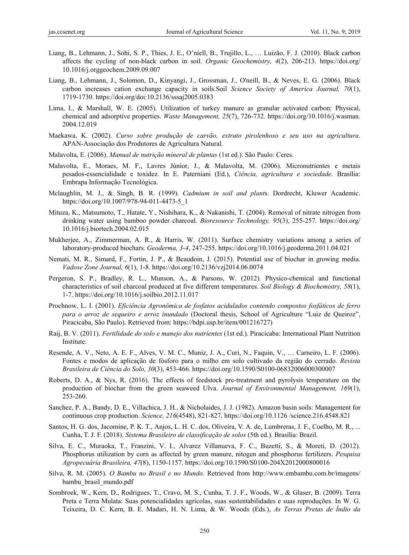- Liang, B., Lehmann, J., Sohi, S. P., Thies, J. E., O'niell, B., Trujillo, L., … Luizão, F. J. (2010). Black carbon affects the cycling of non-black carbon in soil. *Organic Geochemistry, 4*(2), 206-213. https://doi.org/ 10.1016/j.orggeochem.2009.09.007
- Liang, B., Lehmann, J., Solomon, D., Kinyangi, J., Grossman, J., O'neill, B., & Neves, E. G. (2006). Black carbon increases cation exchange capacity in soils.Soil *Science Society of America Journal, 70*(1), 1719-1730. https://doi.org/doi:10.2136/sssaj2005.0383
- Lima, I., & Marshall, W. E. (2005). Utilization of turkey manure as granular activated carbon: Physical, chemical and adsorptive properties. *Waste Management, 25*(7), 726-732. https://doi.org/10.1016/j.wasman. 2004.12.019
- Maekawa, K. (2002). *Curso sobre produção de carvão, extrato pirolenhoso e seu uso na agricultura*. APAN-Associação dos Produtores de Agricultura Natural.
- Malavolta, E. (2006). *Manual de nutrição mineral de plantas* (1st ed.). São Paulo: Ceres.
- Malavolta, E., Moraes, M. F., Lavres Júnior, J., & Malavolta, M. (2006). Micronutrientes e metais pesados-essencialidade e toxidez. In E. Paterniani (Ed.), *Ciência, agricultura e sociedade*. Brasília: Embrapa Informação Tecnológica.
- Mclaughlin, M. J., & Singh, B. R. (1999). *Cadmium in soil and plant*s. Dordrecht, Kluwer Academic. https://doi.org/10.1007/978-94-011-4473-5\_1
- Mituza, K., Matsumoto, T., Hatate, Y., Nishihara, K., & Nakanishi, T. (2004). Removal of nitrate nitrogen from drinking water using bamboo powder charcoal. *Bioresource Technology, 95*(3), 255-257. https://doi.org/ 10.1016/j.biortech.2004.02.015
- Mukherjee, A., Zimmerman, A. R., & Harris, W. (2011). Surface chemistry variations among a series of laboratory-produced biochars. *Geoderma, 3-4*, 247-255. https://doi.org/10.1016/j.geoderma.2011.04.021
- Nemati, M. R., Simard, F., Fortin, J. P., & Beaudoin, J. (2015). Potential use of biochar in growing media. *Vadose Zone Journal, 6*(1), 1-8. https://doi.org/10.2136/vzj2014.06.0074
- Pergeron, S. P., Bradley, R. L., Munson, A., & Parsons, W. (2012). Physico-chemical and functional characteristics of soil charcoal produced at five different temperatures. *Soil Biology & Biochemistry, 58*(1), 1-7. https://doi.org/10.1016/j.soilbio.2012.11.017
- Prochnow, L. I. (2001). *Eficiência Agronômica de fosfatos acidulados contendo compostos fosfáticos de ferro para o arroz de sequeiro e arroz inundado* (Doctoral thesis, School of Agriculture "Luiz de Queiroz", Piracicaba, São Paulo). Retrieved from: https://bdpi.usp.br/item/001216727)
- Raij, B. V. (2011). *Fertilidade do solo e manejo dos nutrientes* (1st ed.). Piracicaba: International Plant Nutrition Institute.
- Resende, A. V., Neto, A. E. F., Alves, V. M. C., Muniz, J. A., Curi, N., Faquin, V., … Carneiro, L. F. (2006). Fontes e modos de aplicação de fósforo para o milho em solo cultivado da região do cerrado. *Revista Brasileira de Ciência do Solo, 30*(3), 453-466. https://doi.org/10.1590/S0100-06832006000300007
- Roberts, D. A., & Nys, R. (2016). The effects of feedstock pre-treatment and pyrolysis temperature on the production of biochar from the green seaweed Ulva. *Journal of Environmental Management, 169*(1), 253-260.
- Sanchez, P. A., Bandy, D. E., Villachica, J. H., & Nicholaides, J. J. (1982). Amazon basin soils: Management for continuous crop production. *Science, 216*(4548), 821-827. https://doi.org/10.1126 /science.216.4548.821
- Santos, H. G. dos, Jacomine, P. K. T., Anjos, L. H. C. dos, Oliveira, V. A. de, Lumbreras, J. F., Coelho, M. R., ... Cunha, T. J. F. (2018). *Sistema Brasileiro de classificação de solos* (5th ed.). Brasília: Brazil.
- Silva, E. C., Muraoka, T., Franzini, V. I., Alvarez Villanueva, F. C., Buzetti, S., & Moreti, D. (2012). Phosphorus utilization by corn as affected by green manure, nitogen and phosphorus fertilizers. *Pesquisa Agropecuária Brasileira, 47*(8), 1150-1157. https://doi.org/10.1590/S0100-204X2012000800016
- Silva, R. M. (2005). *O Bambu no Brasil e no Mundo*. Retrieved from http://www.embambu.com.br/imagens/ bambu\_brasil\_mundo.pdf
- Sombroek, W., Kern, D., Rodrigues, T., Cravo, M. S., Cunha, T. J. F., Woods, W., & Glaser, B. (2009). Terra Preta e Terra Mulata: Suas potencialidades agrícolas, suas sustentabilidades e suas reproduções. In W. G. Teixeira, D. C. Kern, B. E. Madari, H. N. Lima, & W. Woods (Eds.), *As Terras Pretas de Índio da*